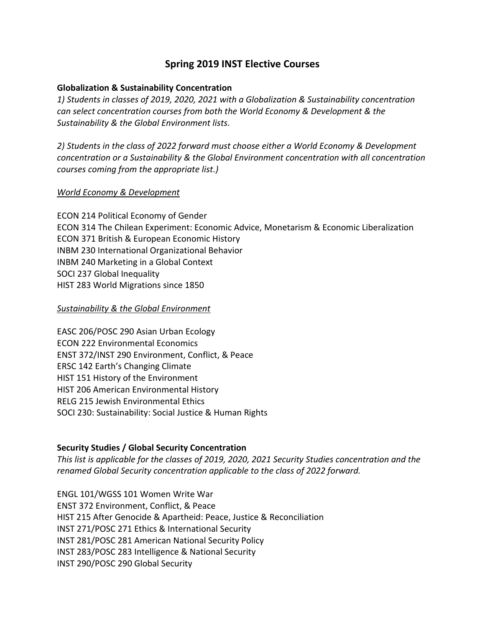# **Spring 2019 INST Elective Courses**

### **Globalization & Sustainability Concentration**

*1) Students in classes of 2019, 2020, 2021 with a Globalization & Sustainability concentration can select concentration courses from both the World Economy & Development & the Sustainability & the Global Environment lists.*

*2) Students in the class of 2022 forward must choose either a World Economy & Development concentration or a Sustainability & the Global Environment concentration with all concentration courses coming from the appropriate list.)*

#### *World Economy & Development*

ECON 214 Political Economy of Gender ECON 314 The Chilean Experiment: Economic Advice, Monetarism & Economic Liberalization ECON 371 British & European Economic History INBM 230 International Organizational Behavior INBM 240 Marketing in a Global Context SOCI 237 Global Inequality HIST 283 World Migrations since 1850

#### *Sustainability & the Global Environment*

EASC 206/POSC 290 Asian Urban Ecology ECON 222 Environmental Economics ENST 372/INST 290 Environment, Conflict, & Peace ERSC 142 Earth's Changing Climate HIST 151 History of the Environment HIST 206 American Environmental History RELG 215 Jewish Environmental Ethics SOCI 230: Sustainability: Social Justice & Human Rights

## **Security Studies / Global Security Concentration**

*This list is applicable for the classes of 2019, 2020, 2021 Security Studies concentration and the renamed Global Security concentration applicable to the class of 2022 forward.*

ENGL 101/WGSS 101 Women Write War ENST 372 Environment, Conflict, & Peace HIST 215 After Genocide & Apartheid: Peace, Justice & Reconciliation INST 271/POSC 271 Ethics & International Security INST 281/POSC 281 American National Security Policy INST 283/POSC 283 Intelligence & National Security INST 290/POSC 290 Global Security